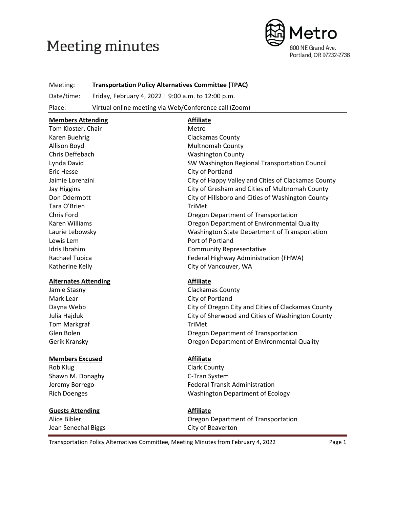# **Meeting minutes**



Meeting: **Transportation Policy Alternatives Committee (TPAC)** Date/time: Friday, February 4, 2022 | 9:00 a.m. to 12:00 p.m.

Place: Virtual online meeting via Web/Conference call (Zoom)

| <b>Members Attending</b>    | <b>Affiliate</b>                                    |
|-----------------------------|-----------------------------------------------------|
| Tom Kloster, Chair          | Metro                                               |
| Karen Buehrig               | Clackamas County                                    |
| Allison Boyd                | <b>Multnomah County</b>                             |
| Chris Deffebach             | <b>Washington County</b>                            |
| Lynda David                 | SW Washington Regional Transportation Council       |
| <b>Eric Hesse</b>           | City of Portland                                    |
| Jaimie Lorenzini            | City of Happy Valley and Cities of Clackamas County |
| <b>Jay Higgins</b>          | City of Gresham and Cities of Multnomah County      |
| Don Odermott                | City of Hillsboro and Cities of Washington County   |
| Tara O'Brien                | TriMet                                              |
| Chris Ford                  | Oregon Department of Transportation                 |
| Karen Williams              | Oregon Department of Environmental Quality          |
| Laurie Lebowsky             | Washington State Department of Transportation       |
| Lewis Lem                   | Port of Portland                                    |
| Idris Ibrahim               | <b>Community Representative</b>                     |
| Rachael Tupica              | Federal Highway Administration (FHWA)               |
| Katherine Kelly             | City of Vancouver, WA                               |
| <b>Alternates Attending</b> | <b>Affiliate</b>                                    |
| Jamie Stasny                | Clackamas County                                    |
| Mark Lear                   | City of Portland                                    |
| Dayna Webb                  | City of Oregon City and Cities of Clackamas County  |
| Julia Hajduk                | City of Sherwood and Cities of Washington County    |
| <b>Tom Markgraf</b>         | TriMet                                              |
| Glen Bolen                  | Oregon Department of Transportation                 |
| Gerik Kransky               | Oregon Department of Environmental Quality          |
| <b>Members Excused</b>      | <b>Affiliate</b>                                    |
| Rob Klug                    | <b>Clark County</b>                                 |
| Shawn M. Donaghy            | C-Tran System                                       |
| Jeremy Borrego              | <b>Federal Transit Administration</b>               |
| <b>Rich Doenges</b>         | <b>Washington Department of Ecology</b>             |

### **Guests Attending Affiliate**

Jean Senechal Biggs City of Beaverton

Alice Bibler **Alice Bibler** Construction Cregon Department of Transportation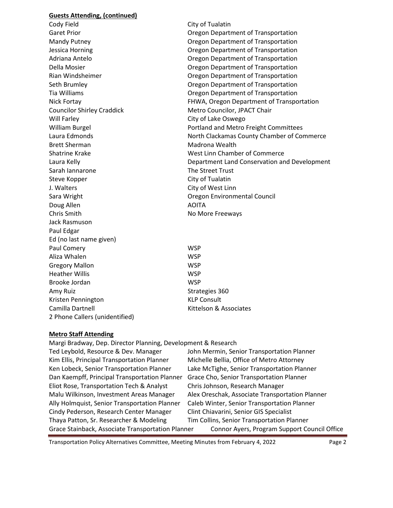#### **Guests Attending, (continued)**

Cody Field Cody Field City of Tualatin Councilor Shirley Craddick Metro Councilor, JPACT Chair Will Farley **City of Lake Oswego** Brett Sherman Madrona Wealth Sarah Iannarone The Street Trust Steve Kopper City of Tualatin J. Walters **City of West Linn** Sara Wright Oregon Environmental Council Doug Allen AOITA Chris Smith No More Freeways Jack Rasmuson Paul Edgar Ed (no last name given) Paul Comery No. 2008 2012 12:30 WSP Aliza Whalen WSP Gregory Mallon WSP Heather Willis WSP Brooke Jordan WSP Amy Ruiz and Strategies 360 Kristen Pennington KIP Consult Camilla Dartnell **Camilla Dartnell** Camilla Dartnell 2 Phone Callers (unidentified)

Garet Prior **Caret Prior** Cregon Department of Transportation Mandy Putney Oregon Department of Transportation Jessica Horning Oregon Department of Transportation Adriana Antelo Oregon Department of Transportation Della Mosier Oregon Department of Transportation Rian Windsheimer Oregon Department of Transportation Seth Brumley Oregon Department of Transportation Tia Williams Oregon Department of Transportation Nick Fortay FHWA, Oregon Department of Transportation William Burgel **Portland and Metro Freight Committees** Laura Edmonds North Clackamas County Chamber of Commerce Shatrine Krake West Linn Chamber of Commerce Laura Kelly Department Land Conservation and Development

#### **Metro Staff Attending**

Margi Bradway, Dep. Director Planning, Development & Research

Ted Leybold, Resource & Dev. Manager John Mermin, Senior Transportation Planner Kim Ellis, Principal Transportation Planner Michelle Bellia, Office of Metro Attorney Ken Lobeck, Senior Transportation Planner Lake McTighe, Senior Transportation Planner Dan Kaempff, Principal Transportation Planner Grace Cho, Senior Transportation Planner Eliot Rose, Transportation Tech & Analyst Chris Johnson, Research Manager Malu Wilkinson, Investment Areas Manager Alex Oreschak, Associate Transportation Planner Ally Holmquist, Senior Transportation Planner Caleb Winter, Senior Transportation Planner Cindy Pederson, Research Center Manager Clint Chiavarini, Senior GIS Specialist Thaya Patton, Sr. Researcher & Modeling Tim Collins, Senior Transportation Planner Grace Stainback, Associate Transportation Planner Connor Ayers, Program Support Council Office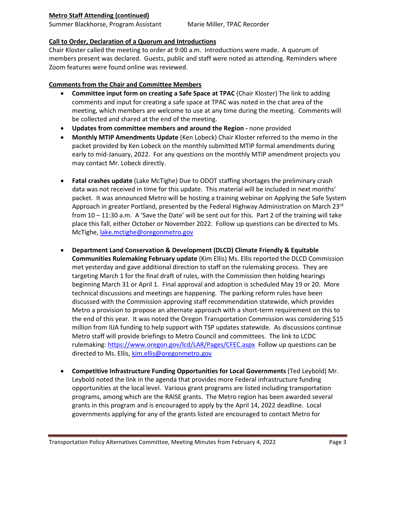#### **Metro Staff Attending (continued)**

Summer Blackhorse, Program Assistant Marie Miller, TPAC Recorder

#### **Call to Order, Declaration of a Quorum and Introductions**

Chair Kloster called the meeting to order at 9:00 a.m. Introductions were made. A quorum of members present was declared. Guests, public and staff were noted as attending. Reminders where Zoom features were found online was reviewed.

#### **Comments from the Chair and Committee Members**

- **Committee input form on creating a Safe Space at TPAC** (Chair Kloster) The link to adding comments and input for creating a safe space at TPAC was noted in the chat area of the meeting, which members are welcome to use at any time during the meeting. Comments will be collected and shared at the end of the meeting.
- **Updates from committee members and around the Region -** none provided
- **Monthly MTIP Amendments Update** (Ken Lobeck) Chair Kloster referred to the memo in the packet provided by Ken Lobeck on the monthly submitted MTIP formal amendments during early to mid-January, 2022. For any questions on the monthly MTIP amendment projects you may contact Mr. Lobeck directly.
- **Fatal crashes update** (Lake McTighe) Due to ODOT staffing shortages the preliminary crash data was not received in time for this update. This material will be included in next months' packet. It was announced Metro will be hosting a training webinar on Applying the Safe System Approach in greater Portland, presented by the Federal Highway Administration on March 23<sup>rd</sup> from 10 – 11:30 a.m. A 'Save the Date' will be sent out for this. Part 2 of the training will take place this fall, either October or November 2022. Follow up questions can be directed to Ms. McTighe, [lake.mctighe@oregonmetro.gov](mailto:lake.mctighe@oregonmetro.gov)
- **Department Land Conservation & Development (DLCD) Climate Friendly & Equitable Communities Rulemaking February update** (Kim Ellis) Ms. Ellis reported the DLCD Commission met yesterday and gave additional direction to staff on the rulemaking process. They are targeting March 1 for the final draft of rules, with the Commission then holding hearings beginning March 31 or April 1. Final approval and adoption is scheduled May 19 or 20. More technical discussions and meetings are happening. The parking reform rules have been discussed with the Commission approving staff recommendation statewide, which provides Metro a provision to propose an alternate approach with a short-term requirement on this to the end of this year. It was noted the Oregon Transportation Commission was considering \$15 million from IIJA funding to help support with TSP updates statewide. As discussions continue Metro staff will provide briefings to Metro Council and committees. The link to LCDC rulemaking:<https://www.oregon.gov/lcd/LAR/Pages/CFEC.aspx> Follow up questions can be directed to Ms. Ellis[, kim.ellis@oregonmetro.gov](mailto:kim.ellis@oregonmetro.gov)
- **Competitive Infrastructure Funding Opportunities for Local Governments** (Ted Leybold) Mr. Leybold noted the link in the agenda that provides more Federal infrastructure funding opportunities at the local level. Various grant programs are listed including transportation programs, among which are the RAISE grants. The Metro region has been awarded several grants in this program and is encouraged to apply by the April 14, 2022 deadline. Local governments applying for any of the grants listed are encouraged to contact Metro for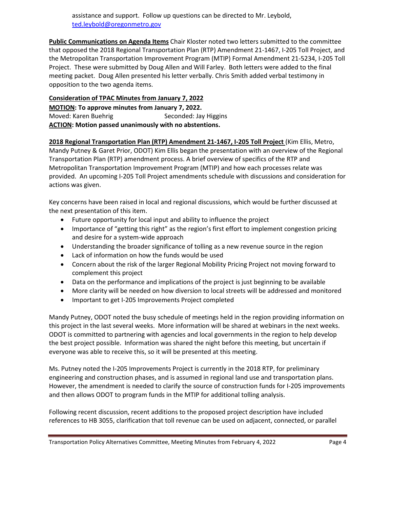assistance and support. Follow up questions can be directed to Mr. Leybold, [ted.leybold@oregonmetro.gov](mailto:ted.leybold@oregonmetro.gov)

**Public Communications on Agenda Items** Chair Kloster noted two letters submitted to the committee that opposed the 2018 Regional Transportation Plan (RTP) Amendment 21-1467, I-205 Toll Project, and the Metropolitan Transportation Improvement Program (MTIP) Formal Amendment 21-5234, I-205 Toll Project. These were submitted by Doug Allen and Will Farley. Both letters were added to the final meeting packet. Doug Allen presented his letter verbally. Chris Smith added verbal testimony in opposition to the two agenda items.

### **Consideration of TPAC Minutes from January 7, 2022**

**MOTION: To approve minutes from January 7, 2022.** Moved: Karen Buehrig Seconded: Jay Higgins

**ACTION: Motion passed unanimously with no abstentions.** 

**2018 Regional Transportation Plan (RTP) Amendment 21-1467, I-205 Toll Project** (Kim Ellis, Metro,

Mandy Putney & Garet Prior, ODOT) Kim Ellis began the presentation with an overview of the Regional Transportation Plan (RTP) amendment process. A brief overview of specifics of the RTP and Metropolitan Transportation Improvement Program (MTIP) and how each processes relate was provided. An upcoming I-205 Toll Project amendments schedule with discussions and consideration for actions was given.

Key concerns have been raised in local and regional discussions, which would be further discussed at the next presentation of this item.

- Future opportunity for local input and ability to influence the project
- Importance of "getting this right" as the region's first effort to implement congestion pricing and desire for a system-wide approach
- Understanding the broader significance of tolling as a new revenue source in the region
- Lack of information on how the funds would be used
- Concern about the risk of the larger Regional Mobility Pricing Project not moving forward to complement this project
- Data on the performance and implications of the project is just beginning to be available
- More clarity will be needed on how diversion to local streets will be addressed and monitored
- Important to get I-205 Improvements Project completed

Mandy Putney, ODOT noted the busy schedule of meetings held in the region providing information on this project in the last several weeks. More information will be shared at webinars in the next weeks. ODOT is committed to partnering with agencies and local governments in the region to help develop the best project possible. Information was shared the night before this meeting, but uncertain if everyone was able to receive this, so it will be presented at this meeting.

Ms. Putney noted the I-205 Improvements Project is currently in the 2018 RTP, for preliminary engineering and construction phases, and is assumed in regional land use and transportation plans. However, the amendment is needed to clarify the source of construction funds for I-205 improvements and then allows ODOT to program funds in the MTIP for additional tolling analysis.

Following recent discussion, recent additions to the proposed project description have included references to HB 3055, clarification that toll revenue can be used on adjacent, connected, or parallel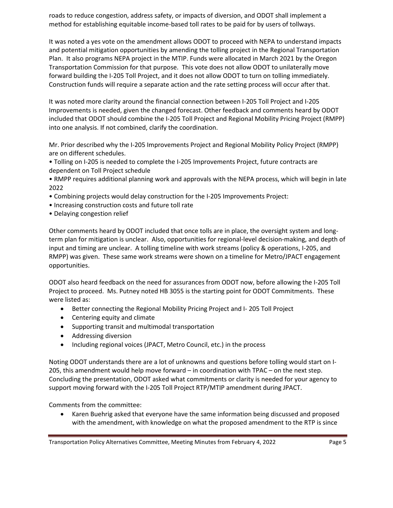roads to reduce congestion, address safety, or impacts of diversion, and ODOT shall implement a method for establishing equitable income-based toll rates to be paid for by users of tollways.

It was noted a yes vote on the amendment allows ODOT to proceed with NEPA to understand impacts and potential mitigation opportunities by amending the tolling project in the Regional Transportation Plan. It also programs NEPA project in the MTIP. Funds were allocated in March 2021 by the Oregon Transportation Commission for that purpose. This vote does not allow ODOT to unilaterally move forward building the I-205 Toll Project, and it does not allow ODOT to turn on tolling immediately. Construction funds will require a separate action and the rate setting process will occur after that.

It was noted more clarity around the financial connection between I-205 Toll Project and I-205 Improvements is needed, given the changed forecast. Other feedback and comments heard by ODOT included that ODOT should combine the I-205 Toll Project and Regional Mobility Pricing Project (RMPP) into one analysis. If not combined, clarify the coordination.

Mr. Prior described why the I-205 Improvements Project and Regional Mobility Policy Project (RMPP) are on different schedules.

• Tolling on I-205 is needed to complete the I-205 Improvements Project, future contracts are dependent on Toll Project schedule

• RMPP requires additional planning work and approvals with the NEPA process, which will begin in late 2022

- Combining projects would delay construction for the I-205 Improvements Project:
- Increasing construction costs and future toll rate
- Delaying congestion relief

Other comments heard by ODOT included that once tolls are in place, the oversight system and longterm plan for mitigation is unclear. Also, opportunities for regional-level decision-making, and depth of input and timing are unclear. A tolling timeline with work streams (policy & operations, I-205, and RMPP) was given. These same work streams were shown on a timeline for Metro/JPACT engagement opportunities.

ODOT also heard feedback on the need for assurances from ODOT now, before allowing the I-205 Toll Project to proceed. Ms. Putney noted HB 3055 is the starting point for ODOT Commitments. These were listed as:

- Better connecting the Regional Mobility Pricing Project and I- 205 Toll Project
- Centering equity and climate
- Supporting transit and multimodal transportation
- Addressing diversion
- Including regional voices (JPACT, Metro Council, etc.) in the process

Noting ODOT understands there are a lot of unknowns and questions before tolling would start on I-205, this amendment would help move forward – in coordination with TPAC – on the next step. Concluding the presentation, ODOT asked what commitments or clarity is needed for your agency to support moving forward with the I-205 Toll Project RTP/MTIP amendment during JPACT.

Comments from the committee:

• Karen Buehrig asked that everyone have the same information being discussed and proposed with the amendment, with knowledge on what the proposed amendment to the RTP is since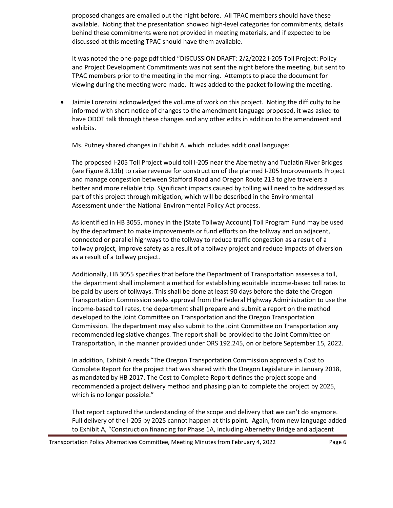proposed changes are emailed out the night before. All TPAC members should have these available. Noting that the presentation showed high-level categories for commitments, details behind these commitments were not provided in meeting materials, and if expected to be discussed at this meeting TPAC should have them available.

It was noted the one-page pdf titled "DISCUSSION DRAFT: 2/2/2022 I-205 Toll Project: Policy and Project Development Commitments was not sent the night before the meeting, but sent to TPAC members prior to the meeting in the morning. Attempts to place the document for viewing during the meeting were made. It was added to the packet following the meeting.

• Jaimie Lorenzini acknowledged the volume of work on this project. Noting the difficulty to be informed with short notice of changes to the amendment language proposed, it was asked to have ODOT talk through these changes and any other edits in addition to the amendment and exhibits.

Ms. Putney shared changes in Exhibit A, which includes additional language:

The proposed I-205 Toll Project would toll I-205 near the Abernethy and Tualatin River Bridges (see Figure 8.13b) to raise revenue for construction of the planned I-205 Improvements Project and manage congestion between Stafford Road and Oregon Route 213 to give travelers a better and more reliable trip. Significant impacts caused by tolling will need to be addressed as part of this project through mitigation, which will be described in the Environmental Assessment under the National Environmental Policy Act process.

As identified in HB 3055, money in the [State Tollway Account] Toll Program Fund may be used by the department to make improvements or fund efforts on the tollway and on adjacent, connected or parallel highways to the tollway to reduce traffic congestion as a result of a tollway project, improve safety as a result of a tollway project and reduce impacts of diversion as a result of a tollway project.

Additionally, HB 3055 specifies that before the Department of Transportation assesses a toll, the department shall implement a method for establishing equitable income-based toll rates to be paid by users of tollways. This shall be done at least 90 days before the date the Oregon Transportation Commission seeks approval from the Federal Highway Administration to use the income-based toll rates, the department shall prepare and submit a report on the method developed to the Joint Committee on Transportation and the Oregon Transportation Commission. The department may also submit to the Joint Committee on Transportation any recommended legislative changes. The report shall be provided to the Joint Committee on Transportation, in the manner provided under ORS 192.245, on or before September 15, 2022.

In addition, Exhibit A reads "The Oregon Transportation Commission approved a Cost to Complete Report for the project that was shared with the Oregon Legislature in January 2018, as mandated by HB 2017. The Cost to Complete Report defines the project scope and recommended a project delivery method and phasing plan to complete the project by 2025, which is no longer possible."

That report captured the understanding of the scope and delivery that we can't do anymore. Full delivery of the I-205 by 2025 cannot happen at this point. Again, from new language added to Exhibit A, "Construction financing for Phase 1A, including Abernethy Bridge and adjacent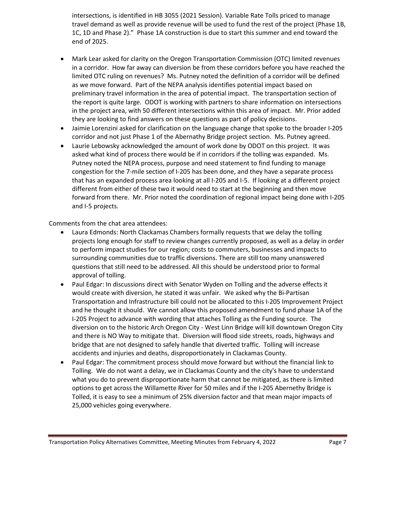intersections, is identified in HB 3055 (2021 Session). Variable Rate Tolls priced to manage travel demand as well as provide revenue will be used to fund the rest of the project (Phase 1B, 1C, 1D and Phase 2)." Phase 1A construction is due to start this summer and end toward the end of 2025.

- Mark Lear asked for clarity on the Oregon Transportation Commission (OTC) limited revenues in a corridor. How far away can diversion be from these corridors before you have reached the limited OTC ruling on revenues? Ms. Putney noted the definition of a corridor will be defined as we move forward. Part of the NEPA analysis identifies potential impact based on preliminary travel information in the area of potential impact. The transportation section of the report is quite large. ODOT is working with partners to share information on intersections in the project area, with 50 different intersections within this area of impact. Mr. Prior added they are looking to find answers on these questions as part of policy decisions.
- Jaimie Lorenzini asked for clarification on the language change that spoke to the broader I-205 corridor and not just Phase 1 of the Abernathy Bridge project section. Ms. Putney agreed.
- Laurie Lebowsky acknowledged the amount of work done by ODOT on this project. It was asked what kind of process there would be if in corridors if the tolling was expanded. Ms. Putney noted the NEPA process, purpose and need statement to find funding to manage congestion for the 7-mile section of I-205 has been done, and they have a separate process that has an expanded process area looking at all I-205 and I-5. If looking at a different project different from either of these two it would need to start at the beginning and then move forward from there. Mr. Prior noted the coordination of regional impact being done with I-205 and I-5 projects.

Comments from the chat area attendees:

- Laura Edmonds: North Clackamas Chambers formally requests that we delay the tolling projects long enough for staff to review changes currently proposed, as well as a delay in order to perform impact studies for our region; costs to commuters, businesses and impacts to surrounding communities due to traffic diversions. There are still too many unanswered questions that still need to be addressed. All this should be understood prior to formal approval of tolling.
- Paul Edgar: In discussions direct with Senator Wyden on Tolling and the adverse effects it would create with diversion, he stated it was unfair. We asked why the Bi-Partisan Transportation and Infrastructure bill could not be allocated to this I-205 Improvement Project and he thought it should. We cannot allow this proposed amendment to fund phase 1A of the I-205 Project to advance with wording that attaches Tolling as the Funding source. The diversion on to the historic Arch Oregon City - West Linn Bridge will kill downtown Oregon City and there is NO Way to mitigate that. Diversion will flood side streets, roads, highways and bridge that are not designed to safely handle that diverted traffic. Tolling will increase accidents and injuries and deaths, disproportionately in Clackamas County.
- Paul Edgar: The commitment process should move forward but without the financial link to Tolling. We do not want a delay, we in Clackamas County and the city's have to understand what you do to prevent disproportionate harm that cannot be mitigated, as there is limited options to get across the Willamette River for 50 miles and if the I-205 Abernethy Bridge is Tolled, it is easy to see a minimum of 25% diversion factor and that mean major impacts of 25,000 vehicles going everywhere.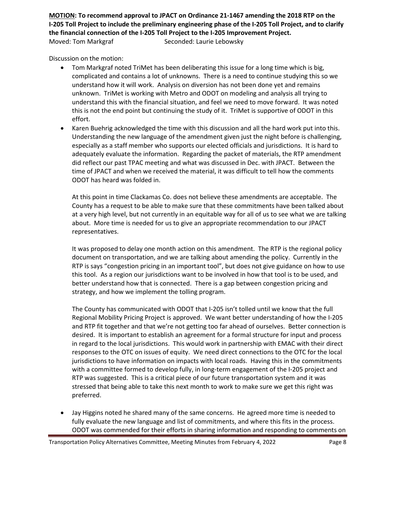**MOTION: To recommend approval to JPACT on Ordinance 21-1467 amending the 2018 RTP on the I-205 Toll Project to include the preliminary engineering phase of the I-205 Toll Project, and to clarify the financial connection of the I-205 Toll Project to the I-205 Improvement Project.**  Moved: Tom Markgraf Seconded: Laurie Lebowsky

Discussion on the motion:

- Tom Markgraf noted TriMet has been deliberating this issue for a long time which is big, complicated and contains a lot of unknowns. There is a need to continue studying this so we understand how it will work. Analysis on diversion has not been done yet and remains unknown. TriMet is working with Metro and ODOT on modeling and analysis all trying to understand this with the financial situation, and feel we need to move forward. It was noted this is not the end point but continuing the study of it. TriMet is supportive of ODOT in this effort.
- Karen Buehrig acknowledged the time with this discussion and all the hard work put into this. Understanding the new language of the amendment given just the night before is challenging, especially as a staff member who supports our elected officials and jurisdictions. It is hard to adequately evaluate the information. Regarding the packet of materials, the RTP amendment did reflect our past TPAC meeting and what was discussed in Dec. with JPACT. Between the time of JPACT and when we received the material, it was difficult to tell how the comments ODOT has heard was folded in.

At this point in time Clackamas Co. does not believe these amendments are acceptable. The County has a request to be able to make sure that these commitments have been talked about at a very high level, but not currently in an equitable way for all of us to see what we are talking about. More time is needed for us to give an appropriate recommendation to our JPACT representatives.

It was proposed to delay one month action on this amendment. The RTP is the regional policy document on transportation, and we are talking about amending the policy. Currently in the RTP is says "congestion pricing in an important tool", but does not give guidance on how to use this tool. As a region our jurisdictions want to be involved in how that tool is to be used, and better understand how that is connected. There is a gap between congestion pricing and strategy, and how we implement the tolling program.

The County has communicated with ODOT that I-205 isn't tolled until we know that the full Regional Mobility Pricing Project is approved. We want better understanding of how the I-205 and RTP fit together and that we're not getting too far ahead of ourselves. Better connection is desired. It is important to establish an agreement for a formal structure for input and process in regard to the local jurisdictions. This would work in partnership with EMAC with their direct responses to the OTC on issues of equity. We need direct connections to the OTC for the local jurisdictions to have information on impacts with local roads. Having this in the commitments with a committee formed to develop fully, in long-term engagement of the I-205 project and RTP was suggested. This is a critical piece of our future transportation system and it was stressed that being able to take this next month to work to make sure we get this right was preferred.

• Jay Higgins noted he shared many of the same concerns. He agreed more time is needed to fully evaluate the new language and list of commitments, and where this fits in the process. ODOT was commended for their efforts in sharing information and responding to comments on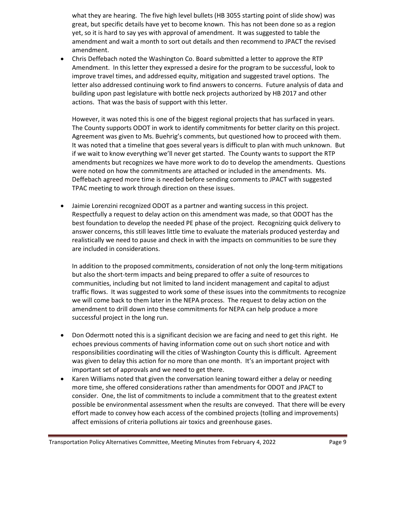what they are hearing. The five high level bullets (HB 3055 starting point of slide show) was great, but specific details have yet to become known. This has not been done so as a region yet, so it is hard to say yes with approval of amendment. It was suggested to table the amendment and wait a month to sort out details and then recommend to JPACT the revised amendment.

• Chris Deffebach noted the Washington Co. Board submitted a letter to approve the RTP Amendment. In this letter they expressed a desire for the program to be successful, look to improve travel times, and addressed equity, mitigation and suggested travel options. The letter also addressed continuing work to find answers to concerns. Future analysis of data and building upon past legislature with bottle neck projects authorized by HB 2017 and other actions. That was the basis of support with this letter.

However, it was noted this is one of the biggest regional projects that has surfaced in years. The County supports ODOT in work to identify commitments for better clarity on this project. Agreement was given to Ms. Buehrig's comments, but questioned how to proceed with them. It was noted that a timeline that goes several years is difficult to plan with much unknown. But if we wait to know everything we'll never get started. The County wants to support the RTP amendments but recognizes we have more work to do to develop the amendments. Questions were noted on how the commitments are attached or included in the amendments. Ms. Deffebach agreed more time is needed before sending comments to JPACT with suggested TPAC meeting to work through direction on these issues.

• Jaimie Lorenzini recognized ODOT as a partner and wanting success in this project. Respectfully a request to delay action on this amendment was made, so that ODOT has the best foundation to develop the needed PE phase of the project. Recognizing quick delivery to answer concerns, this still leaves little time to evaluate the materials produced yesterday and realistically we need to pause and check in with the impacts on communities to be sure they are included in considerations.

In addition to the proposed commitments, consideration of not only the long-term mitigations but also the short-term impacts and being prepared to offer a suite of resources to communities, including but not limited to land incident management and capital to adjust traffic flows. It was suggested to work some of these issues into the commitments to recognize we will come back to them later in the NEPA process. The request to delay action on the amendment to drill down into these commitments for NEPA can help produce a more successful project in the long run.

- Don Odermott noted this is a significant decision we are facing and need to get this right. He echoes previous comments of having information come out on such short notice and with responsibilities coordinating will the cities of Washington County this is difficult. Agreement was given to delay this action for no more than one month. It's an important project with important set of approvals and we need to get there.
- Karen Williams noted that given the conversation leaning toward either a delay or needing more time, she offered considerations rather than amendments for ODOT and JPACT to consider. One, the list of commitments to include a commitment that to the greatest extent possible be environmental assessment when the results are conveyed. That there will be every effort made to convey how each access of the combined projects (tolling and improvements) affect emissions of criteria pollutions air toxics and greenhouse gases.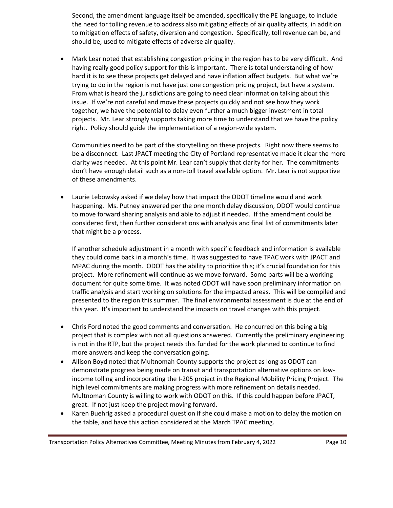Second, the amendment language itself be amended, specifically the PE language, to include the need for tolling revenue to address also mitigating effects of air quality affects, in addition to mitigation effects of safety, diversion and congestion. Specifically, toll revenue can be, and should be, used to mitigate effects of adverse air quality.

• Mark Lear noted that establishing congestion pricing in the region has to be very difficult. And having really good policy support for this is important. There is total understanding of how hard it is to see these projects get delayed and have inflation affect budgets. But what we're trying to do in the region is not have just one congestion pricing project, but have a system. From what is heard the jurisdictions are going to need clear information talking about this issue. If we're not careful and move these projects quickly and not see how they work together, we have the potential to delay even further a much bigger investment in total projects. Mr. Lear strongly supports taking more time to understand that we have the policy right. Policy should guide the implementation of a region-wide system.

Communities need to be part of the storytelling on these projects. Right now there seems to be a disconnect. Last JPACT meeting the City of Portland representative made it clear the more clarity was needed. At this point Mr. Lear can't supply that clarity for her. The commitments don't have enough detail such as a non-toll travel available option. Mr. Lear is not supportive of these amendments.

• Laurie Lebowsky asked if we delay how that impact the ODOT timeline would and work happening. Ms. Putney answered per the one month delay discussion, ODOT would continue to move forward sharing analysis and able to adjust if needed. If the amendment could be considered first, then further considerations with analysis and final list of commitments later that might be a process.

If another schedule adjustment in a month with specific feedback and information is available they could come back in a month's time. It was suggested to have TPAC work with JPACT and MPAC during the month. ODOT has the ability to prioritize this; it's crucial foundation for this project. More refinement will continue as we move forward. Some parts will be a working document for quite some time. It was noted ODOT will have soon preliminary information on traffic analysis and start working on solutions for the impacted areas. This will be compiled and presented to the region this summer. The final environmental assessment is due at the end of this year. It's important to understand the impacts on travel changes with this project.

- Chris Ford noted the good comments and conversation. He concurred on this being a big project that is complex with not all questions answered. Currently the preliminary engineering is not in the RTP, but the project needs this funded for the work planned to continue to find more answers and keep the conversation going.
- Allison Boyd noted that Multnomah County supports the project as long as ODOT can demonstrate progress being made on transit and transportation alternative options on lowincome tolling and incorporating the I-205 project in the Regional Mobility Pricing Project. The high level commitments are making progress with more refinement on details needed. Multnomah County is willing to work with ODOT on this. If this could happen before JPACT, great. If not just keep the project moving forward.
- Karen Buehrig asked a procedural question if she could make a motion to delay the motion on the table, and have this action considered at the March TPAC meeting.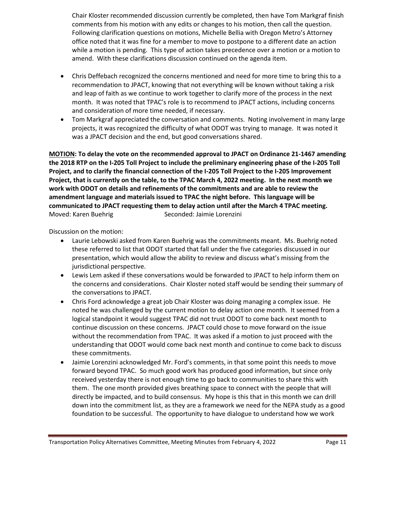Chair Kloster recommended discussion currently be completed, then have Tom Markgraf finish comments from his motion with any edits or changes to his motion, then call the question. Following clarification questions on motions, Michelle Bellia with Oregon Metro's Attorney office noted that it was fine for a member to move to postpone to a different date an action while a motion is pending. This type of action takes precedence over a motion or a motion to amend. With these clarifications discussion continued on the agenda item.

- Chris Deffebach recognized the concerns mentioned and need for more time to bring this to a recommendation to JPACT, knowing that not everything will be known without taking a risk and leap of faith as we continue to work together to clarify more of the process in the next month. It was noted that TPAC's role is to recommend to JPACT actions, including concerns and consideration of more time needed, if necessary.
- Tom Markgraf appreciated the conversation and comments. Noting involvement in many large projects, it was recognized the difficulty of what ODOT was trying to manage. It was noted it was a JPACT decision and the end, but good conversations shared.

**MOTION: To delay the vote on the recommended approval to JPACT on Ordinance 21-1467 amending the 2018 RTP on the I-205 Toll Project to include the preliminary engineering phase of the I-205 Toll Project, and to clarify the financial connection of the I-205 Toll Project to the I-205 Improvement Project, that is currently on the table, to the TPAC March 4, 2022 meeting. In the next month we work with ODOT on details and refinements of the commitments and are able to review the amendment language and materials issued to TPAC the night before. This language will be communicated to JPACT requesting them to delay action until after the March 4 TPAC meeting.** Moved: Karen Buehrig Seconded: Jaimie Lorenzini

Discussion on the motion:

- Laurie Lebowski asked from Karen Buehrig was the commitments meant. Ms. Buehrig noted these referred to list that ODOT started that fall under the five categories discussed in our presentation, which would allow the ability to review and discuss what's missing from the jurisdictional perspective.
- Lewis Lem asked if these conversations would be forwarded to JPACT to help inform them on the concerns and considerations. Chair Kloster noted staff would be sending their summary of the conversations to JPACT.
- Chris Ford acknowledge a great job Chair Kloster was doing managing a complex issue. He noted he was challenged by the current motion to delay action one month. It seemed from a logical standpoint it would suggest TPAC did not trust ODOT to come back next month to continue discussion on these concerns. JPACT could chose to move forward on the issue without the recommendation from TPAC. It was asked if a motion to just proceed with the understanding that ODOT would come back next month and continue to come back to discuss these commitments.
- Jaimie Lorenzini acknowledged Mr. Ford's comments, in that some point this needs to move forward beyond TPAC. So much good work has produced good information, but since only received yesterday there is not enough time to go back to communities to share this with them. The one month provided gives breathing space to connect with the people that will directly be impacted, and to build consensus. My hope is this that in this month we can drill down into the commitment list, as they are a framework we need for the NEPA study as a good foundation to be successful. The opportunity to have dialogue to understand how we work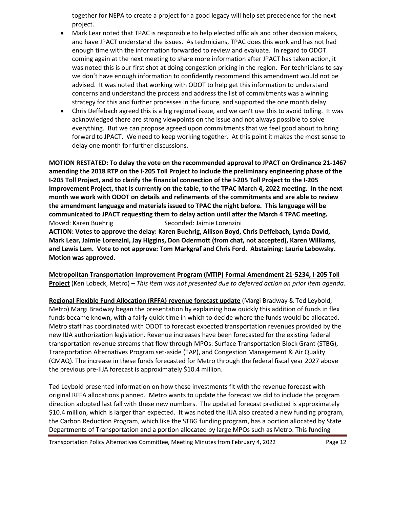together for NEPA to create a project for a good legacy will help set precedence for the next project.

- Mark Lear noted that TPAC is responsible to help elected officials and other decision makers, and have JPACT understand the issues. As technicians, TPAC does this work and has not had enough time with the information forwarded to review and evaluate. In regard to ODOT coming again at the next meeting to share more information after JPACT has taken action, it was noted this is our first shot at doing congestion pricing in the region. For technicians to say we don't have enough information to confidently recommend this amendment would not be advised. It was noted that working with ODOT to help get this information to understand concerns and understand the process and address the list of commitments was a winning strategy for this and further processes in the future, and supported the one month delay.
- Chris Deffebach agreed this is a big regional issue, and we can't use this to avoid tolling. It was acknowledged there are strong viewpoints on the issue and not always possible to solve everything. But we can propose agreed upon commitments that we feel good about to bring forward to JPACT. We need to keep working together. At this point it makes the most sense to delay one month for further discussions.

**MOTION RESTATED: To delay the vote on the recommended approval to JPACT on Ordinance 21-1467 amending the 2018 RTP on the I-205 Toll Project to include the preliminary engineering phase of the I-205 Toll Project, and to clarify the financial connection of the I-205 Toll Project to the I-205 Improvement Project, that is currently on the table, to the TPAC March 4, 2022 meeting. In the next month we work with ODOT on details and refinements of the commitments and are able to review the amendment language and materials issued to TPAC the night before. This language will be communicated to JPACT requesting them to delay action until after the March 4 TPAC meeting.** Moved: Karen Buehrig Seconded: Jaimie Lorenzini **ACTION: Votes to approve the delay: Karen Buehrig, Allison Boyd, Chris Deffebach, Lynda David, Mark Lear, Jaimie Lorenzini, Jay Higgins, Don Odermott (from chat, not accepted), Karen Williams, and Lewis Lem. Vote to not approve: Tom Markgraf and Chris Ford. Abstaining: Laurie Lebowsky.** 

**Motion was approved.**

**Metropolitan Transportation Improvement Program (MTIP) Formal Amendment 21-5234, I-205 Toll Project** (Ken Lobeck, Metro) – *This item was not presented due to deferred action on prior item agenda.*

**Regional Flexible Fund Allocation (RFFA) revenue forecast update** (Margi Bradway & Ted Leybold, Metro) Margi Bradway began the presentation by explaining how quickly this addition of funds in flex funds became known, with a fairly quick time in which to decide where the funds would be allocated. Metro staff has coordinated with ODOT to forecast expected transportation revenues provided by the new IIJA authorization legislation. Revenue increases have been forecasted for the existing federal transportation revenue streams that flow through MPOs: Surface Transportation Block Grant (STBG), Transportation Alternatives Program set-aside (TAP), and Congestion Management & Air Quality (CMAQ). The increase in these funds forecasted for Metro through the federal fiscal year 2027 above the previous pre-IIJA forecast is approximately \$10.4 million.

Ted Leybold presented information on how these investments fit with the revenue forecast with original RFFA allocations planned. Metro wants to update the forecast we did to include the program direction adopted last fall with these new numbers. The updated forecast predicted is approximately \$10.4 million, which is larger than expected. It was noted the IIJA also created a new funding program, the Carbon Reduction Program, which like the STBG funding program, has a portion allocated by State Departments of Transportation and a portion allocated by large MPOs such as Metro. This funding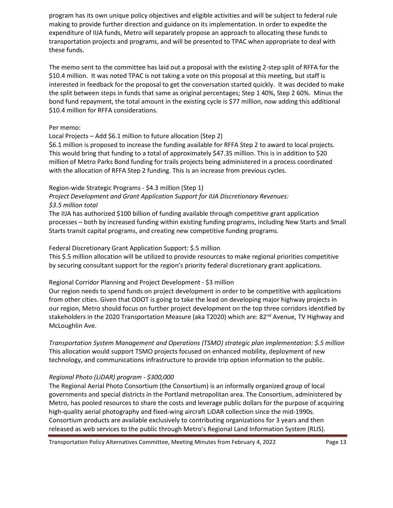program has its own unique policy objectives and eligible activities and will be subject to federal rule making to provide further direction and guidance on its implementation. In order to expedite the expenditure of IIJA funds, Metro will separately propose an approach to allocating these funds to transportation projects and programs, and will be presented to TPAC when appropriate to deal with these funds.

The memo sent to the committee has laid out a proposal with the existing 2-step split of RFFA for the \$10.4 million. It was noted TPAC is not taking a vote on this proposal at this meeting, but staff is interested in feedback for the proposal to get the conversation started quickly. It was decided to make the split between steps in funds that same as original percentages; Step 1 40%, Step 2 60%. Minus the bond fund repayment, the total amount in the existing cycle is \$77 million, now adding this additional \$10.4 million for RFFA considerations.

#### Per memo:

#### Local Projects – Add \$6.1 million to future allocation (Step 2)

\$6.1 million is proposed to increase the funding available for RFFA Step 2 to award to local projects. This would bring that funding to a total of approximately \$47.35 million. This is in addition to \$20 million of Metro Parks Bond funding for trails projects being administered in a process coordinated with the allocation of RFFA Step 2 funding. This is an increase from previous cycles.

#### Region-wide Strategic Programs - \$4.3 million (Step 1)

*Project Development and Grant Application Support for IIJA Discretionary Revenues: \$3.5 million total*

The IIJA has authorized \$100 billion of funding available through competitive grant application processes – both by increased funding within existing funding programs, including New Starts and Small Starts transit capital programs, and creating new competitive funding programs.

#### Federal Discretionary Grant Application Support: \$.5 million

This \$.5 million allocation will be utilized to provide resources to make regional priorities competitive by securing consultant support for the region's priority federal discretionary grant applications.

#### Regional Corridor Planning and Project Development - \$3 million

Our region needs to spend funds on project development in order to be competitive with applications from other cities. Given that ODOT is going to take the lead on developing major highway projects in our region, Metro should focus on further project development on the top three corridors identified by stakeholders in the 2020 Transportation Measure (aka T2020) which are: 82<sup>nd</sup> Avenue, TV Highway and McLoughlin Ave.

*Transportation System Management and Operations (TSMO) strategic plan implementation: \$.5 million* This allocation would support TSMO projects focused on enhanced mobility, deployment of new technology, and communications infrastructure to provide trip option information to the public.

#### *Regional Photo (LiDAR) program - \$300,000*

The Regional Aerial Photo Consortium (the Consortium) is an informally organized group of local governments and special districts in the Portland metropolitan area. The Consortium, administered by Metro, has pooled resources to share the costs and leverage public dollars for the purpose of acquiring high-quality aerial photography and fixed-wing aircraft LiDAR collection since the mid-1990s. Consortium products are available exclusively to contributing organizations for 3 years and then released as web services to the public through Metro's Regional Land Information System (RLIS).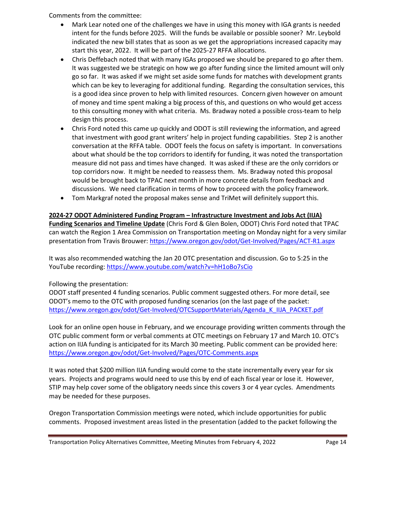Comments from the committee:

- Mark Lear noted one of the challenges we have in using this money with IGA grants is needed intent for the funds before 2025. Will the funds be available or possible sooner? Mr. Leybold indicated the new bill states that as soon as we get the appropriations increased capacity may start this year, 2022. It will be part of the 2025-27 RFFA allocations.
- Chris Deffebach noted that with many IGAs proposed we should be prepared to go after them. It was suggested we be strategic on how we go after funding since the limited amount will only go so far. It was asked if we might set aside some funds for matches with development grants which can be key to leveraging for additional funding. Regarding the consultation services, this is a good idea since proven to help with limited resources. Concern given however on amount of money and time spent making a big process of this, and questions on who would get access to this consulting money with what criteria. Ms. Bradway noted a possible cross-team to help design this process.
- Chris Ford noted this came up quickly and ODOT is still reviewing the information, and agreed that investment with good grant writers' help in project funding capabilities. Step 2 is another conversation at the RFFA table. ODOT feels the focus on safety is important. In conversations about what should be the top corridors to identify for funding, it was noted the transportation measure did not pass and times have changed. It was asked if these are the only corridors or top corridors now. It might be needed to reassess them. Ms. Bradway noted this proposal would be brought back to TPAC next month in more concrete details from feedback and discussions. We need clarification in terms of how to proceed with the policy framework.
- Tom Markgraf noted the proposal makes sense and TriMet will definitely support this.

#### **2024-27 ODOT Administered Funding Program – Infrastructure Investment and Jobs Act (IIJA)**

**Funding Scenarios and Timeline Update** (Chris Ford & Glen Bolen, ODOT) Chris Ford noted that TPAC can watch the Region 1 Area Commission on Transportation meeting on Monday night for a very similar presentation from Travis Brouwer:<https://www.oregon.gov/odot/Get-Involved/Pages/ACT-R1.aspx>

It was also recommended watching the Jan 20 OTC presentation and discussion. Go to 5:25 in the YouTube recording:<https://www.youtube.com/watch?v=hH1oBo7sCio>

#### Following the presentation:

ODOT staff presented 4 funding scenarios. Public comment suggested others. For more detail, see ODOT's memo to the OTC with proposed funding scenarios (on the last page of the packet: [https://www.oregon.gov/odot/Get-Involved/OTCSupportMaterials/Agenda\\_K\\_IIJA\\_PACKET.pdf](https://www.oregon.gov/odot/Get-Involved/OTCSupportMaterials/Agenda_K_IIJA_PACKET.pdf)

Look for an online open house in February, and we encourage providing written comments through the OTC public comment form or verbal comments at OTC meetings on February 17 and March 10. OTC's action on IIJA funding is anticipated for its March 30 meeting. Public comment can be provided here: <https://www.oregon.gov/odot/Get-Involved/Pages/OTC-Comments.aspx>

It was noted that \$200 million IIJA funding would come to the state incrementally every year for six years. Projects and programs would need to use this by end of each fiscal year or lose it. However, STIP may help cover some of the obligatory needs since this covers 3 or 4 year cycles. Amendments may be needed for these purposes.

Oregon Transportation Commission meetings were noted, which include opportunities for public comments. Proposed investment areas listed in the presentation (added to the packet following the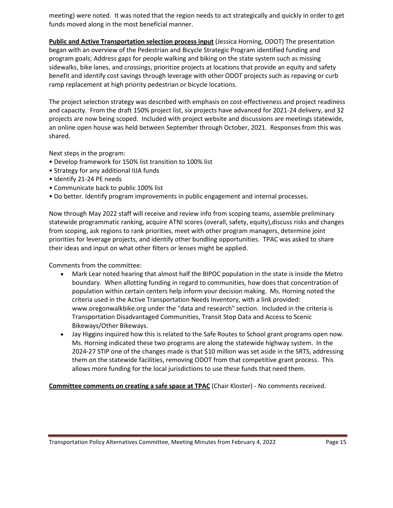meeting) were noted. It was noted that the region needs to act strategically and quickly in order to get funds moved along in the most beneficial manner.

**Public and Active Transportation selection process input** (Jessica Horning, ODOT) The presentation began with an overview of the Pedestrian and Bicycle Strategic Program identified funding and program goals; Address gaps for people walking and biking on the state system such as missing sidewalks, bike lanes, and crossings, prioritize projects at locations that provide an equity and safety benefit and identify cost savings through leverage with other ODOT projects such as repaving or curb ramp replacement at high priority pedestrian or bicycle locations.

The project selection strategy was described with emphasis on cost-effectiveness and project readiness and capacity. From the draft 150% project list, six projects have advanced for 2021-24 delivery, and 32 projects are now being scoped. Included with project website and discussions are meetings statewide, an online open house was held between September through October, 2021. Responses from this was shared.

Next steps in the program:

- Develop framework for 150% list transition to 100% list
- Strategy for any additional IIJA funds
- Identify 21-24 PE needs
- Communicate back to public 100% list
- Do better. Identify program improvements in public engagement and internal processes.

Now through May 2022 staff will receive and review info from scoping teams, assemble preliminary statewide programmatic ranking, acquire ATNI scores (overall, safety, equity),discuss risks and changes from scoping, ask regions to rank priorities, meet with other program managers, determine joint priorities for leverage projects, and identify other bundling opportunities. TPAC was asked to share their ideas and input on what other filters or lenses might be applied.

Comments from the committee:

- Mark Lear noted hearing that almost half the BIPOC population in the state is inside the Metro boundary. When allotting funding in regard to communities, how does that concentration of population within certain centers help inform your decision making. Ms. Horning noted the criteria used in the Active Transportation Needs Inventory, with a link provided: www.oregonwalkbike.org under the "data and research" section. Included in the criteria is Transportation Disadvantaged Communities, Transit Stop Data and Access to Scenic Bikeways/Other Bikeways.
- Jay Higgins inquired how this is related to the Safe Routes to School grant programs open now. Ms. Horning indicated these two programs are along the statewide highway system. In the 2024-27 STIP one of the changes made is that \$10 million was set aside in the SRTS, addressing them on the statewide facilities, removing ODOT from that competitive grant process. This allows more funding for the local jurisdictions to use these funds that need them.

**Committee comments on creating a safe space at TPAC** (Chair Kloster) - No comments received.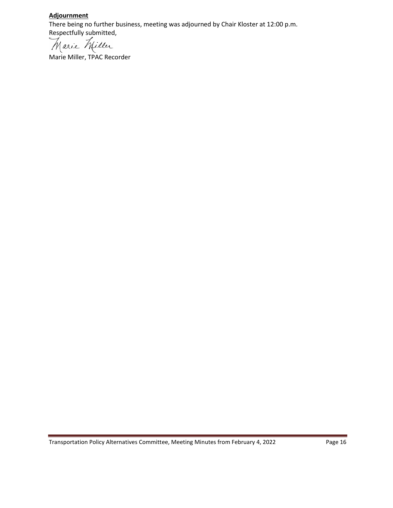#### **Adjournment**

There being no further business, meeting was adjourned by Chair Kloster at 12:00 p.m. Respectfully submitted,

arie Miller

Marie Miller, TPAC Recorder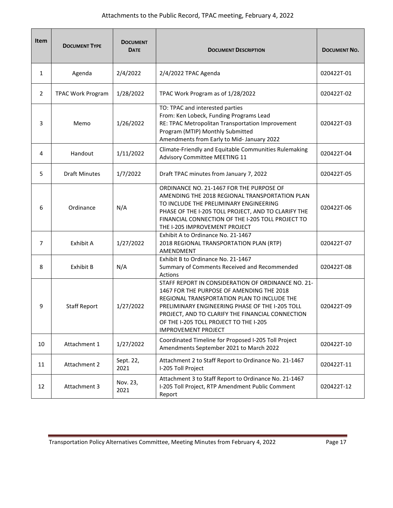## Attachments to the Public Record, TPAC meeting, February 4, 2022

| <b>Item</b>    | <b>DOCUMENT TYPE</b>     | <b>DOCUMENT</b><br><b>DATE</b> | <b>DOCUMENT DESCRIPTION</b>                                                                                                                                                                                                                                                                                                   | <b>DOCUMENT NO.</b> |
|----------------|--------------------------|--------------------------------|-------------------------------------------------------------------------------------------------------------------------------------------------------------------------------------------------------------------------------------------------------------------------------------------------------------------------------|---------------------|
| 1              | Agenda                   | 2/4/2022                       | 2/4/2022 TPAC Agenda                                                                                                                                                                                                                                                                                                          | 020422T-01          |
| $\overline{2}$ | <b>TPAC Work Program</b> | 1/28/2022                      | TPAC Work Program as of 1/28/2022                                                                                                                                                                                                                                                                                             | 020422T-02          |
| 3              | Memo                     | 1/26/2022                      | TO: TPAC and interested parties<br>From: Ken Lobeck, Funding Programs Lead<br>RE: TPAC Metropolitan Transportation Improvement<br>Program (MTIP) Monthly Submitted<br>Amendments from Early to Mid- January 2022                                                                                                              | 020422T-03          |
| 4              | Handout                  | 1/11/2022                      | Climate-Friendly and Equitable Communities Rulemaking<br>Advisory Committee MEETING 11                                                                                                                                                                                                                                        | 020422T-04          |
| 5              | <b>Draft Minutes</b>     | 1/7/2022                       | Draft TPAC minutes from January 7, 2022                                                                                                                                                                                                                                                                                       | 020422T-05          |
| 6              | Ordinance                | N/A                            | ORDINANCE NO. 21-1467 FOR THE PURPOSE OF<br>AMENDING THE 2018 REGIONAL TRANSPORTATION PLAN<br>TO INCLUDE THE PRELIMINARY ENGINEERING<br>PHASE OF THE I-205 TOLL PROJECT, AND TO CLARIFY THE<br>FINANCIAL CONNECTION OF THE I-205 TOLL PROJECT TO<br>THE I-205 IMPROVEMENT PROJECT                                             | 020422T-06          |
| 7              | Exhibit A                | 1/27/2022                      | Exhibit A to Ordinance No. 21-1467<br>2018 REGIONAL TRANSPORTATION PLAN (RTP)<br>AMENDMENT                                                                                                                                                                                                                                    | 020422T-07          |
| 8              | Exhibit B                | N/A                            | Exhibit B to Ordinance No. 21-1467<br>Summary of Comments Received and Recommended<br>Actions                                                                                                                                                                                                                                 | 020422T-08          |
| 9              | <b>Staff Report</b>      | 1/27/2022                      | STAFF REPORT IN CONSIDERATION OF ORDINANCE NO. 21-<br>1467 FOR THE PURPOSE OF AMENDING THE 2018<br>REGIONAL TRANSPORTATION PLAN TO INCLUDE THE<br>PRELIMINARY ENGINEERING PHASE OF THE I-205 TOLL<br>PROJECT, AND TO CLARIFY THE FINANCIAL CONNECTION<br>OF THE I-205 TOLL PROJECT TO THE I-205<br><b>IMPROVEMENT PROJECT</b> | 020422T-09          |
| 10             | Attachment 1             | 1/27/2022                      | Coordinated Timeline for Proposed I-205 Toll Project<br>Amendments September 2021 to March 2022                                                                                                                                                                                                                               | 020422T-10          |
| 11             | Attachment 2             | Sept. 22,<br>2021              | Attachment 2 to Staff Report to Ordinance No. 21-1467<br>I-205 Toll Project                                                                                                                                                                                                                                                   | 020422T-11          |
| 12             | Attachment 3             | Nov. 23,<br>2021               | Attachment 3 to Staff Report to Ordinance No. 21-1467<br>I-205 Toll Project, RTP Amendment Public Comment<br>Report                                                                                                                                                                                                           | 020422T-12          |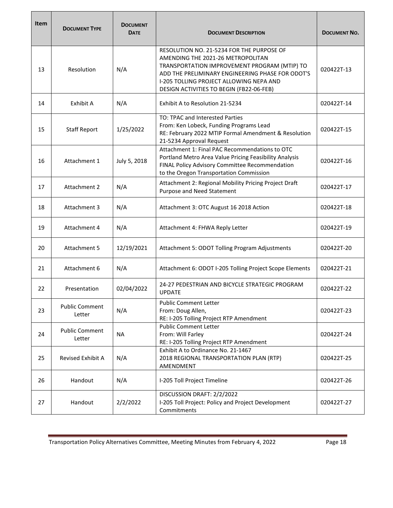| <b>Item</b> | <b>DOCUMENT TYPE</b>            | <b>DOCUMENT</b><br><b>DATE</b> | <b>DOCUMENT DESCRIPTION</b>                                                                                                                                                                                                                                               | <b>DOCUMENT NO.</b> |
|-------------|---------------------------------|--------------------------------|---------------------------------------------------------------------------------------------------------------------------------------------------------------------------------------------------------------------------------------------------------------------------|---------------------|
| 13          | Resolution                      | N/A                            | RESOLUTION NO. 21-5234 FOR THE PURPOSE OF<br>AMENDING THE 2021-26 METROPOLITAN<br>TRANSPORTATION IMPROVEMENT PROGRAM (MTIP) TO<br>ADD THE PRELIMINARY ENGINEERING PHASE FOR ODOT'S<br>I-205 TOLLING PROJECT ALLOWING NEPA AND<br>DESIGN ACTIVITIES TO BEGIN (FB22-06-FEB) | 020422T-13          |
| 14          | Exhibit A                       | N/A                            | Exhibit A to Resolution 21-5234                                                                                                                                                                                                                                           | 020422T-14          |
| 15          | <b>Staff Report</b>             | 1/25/2022                      | TO: TPAC and Interested Parties<br>From: Ken Lobeck, Funding Programs Lead<br>RE: February 2022 MTIP Formal Amendment & Resolution<br>21-5234 Approval Request                                                                                                            | 020422T-15          |
| 16          | Attachment 1                    | July 5, 2018                   | Attachment 1: Final PAC Recommendations to OTC<br>Portland Metro Area Value Pricing Feasibility Analysis<br>FINAL Policy Advisory Committee Recommendation<br>to the Oregon Transportation Commission                                                                     | 020422T-16          |
| 17          | Attachment 2                    | N/A                            | Attachment 2: Regional Mobility Pricing Project Draft<br>Purpose and Need Statement                                                                                                                                                                                       | 020422T-17          |
| 18          | Attachment 3                    | N/A                            | Attachment 3: OTC August 16 2018 Action                                                                                                                                                                                                                                   | 020422T-18          |
| 19          | Attachment 4                    | N/A                            | Attachment 4: FHWA Reply Letter                                                                                                                                                                                                                                           | 020422T-19          |
| 20          | <b>Attachment 5</b>             | 12/19/2021                     | Attachment 5: ODOT Tolling Program Adjustments                                                                                                                                                                                                                            | 020422T-20          |
| 21          | Attachment 6                    | N/A                            | Attachment 6: ODOT I-205 Tolling Project Scope Elements                                                                                                                                                                                                                   | 020422T-21          |
| 22          | Presentation                    | 02/04/2022                     | 24-27 PEDESTRIAN AND BICYCLE STRATEGIC PROGRAM<br><b>UPDATE</b>                                                                                                                                                                                                           | 020422T-22          |
| 23          | <b>Public Comment</b><br>Letter | N/A                            | <b>Public Comment Letter</b><br>From: Doug Allen,<br>RE: I-205 Tolling Project RTP Amendment                                                                                                                                                                              | 020422T-23          |
| 24          | <b>Public Comment</b><br>Letter | <b>NA</b>                      | <b>Public Comment Letter</b><br>From: Will Farley<br>RE: I-205 Tolling Project RTP Amendment                                                                                                                                                                              | 020422T-24          |
| 25          | Revised Exhibit A               | N/A                            | Exhibit A to Ordinance No. 21-1467<br>2018 REGIONAL TRANSPORTATION PLAN (RTP)<br>AMENDMENT                                                                                                                                                                                | 020422T-25          |
| 26          | Handout                         | N/A                            | I-205 Toll Project Timeline                                                                                                                                                                                                                                               | 020422T-26          |
| 27          | Handout                         | 2/2/2022                       | DISCUSSION DRAFT: 2/2/2022<br>I-205 Toll Project: Policy and Project Development<br>Commitments                                                                                                                                                                           | 020422T-27          |